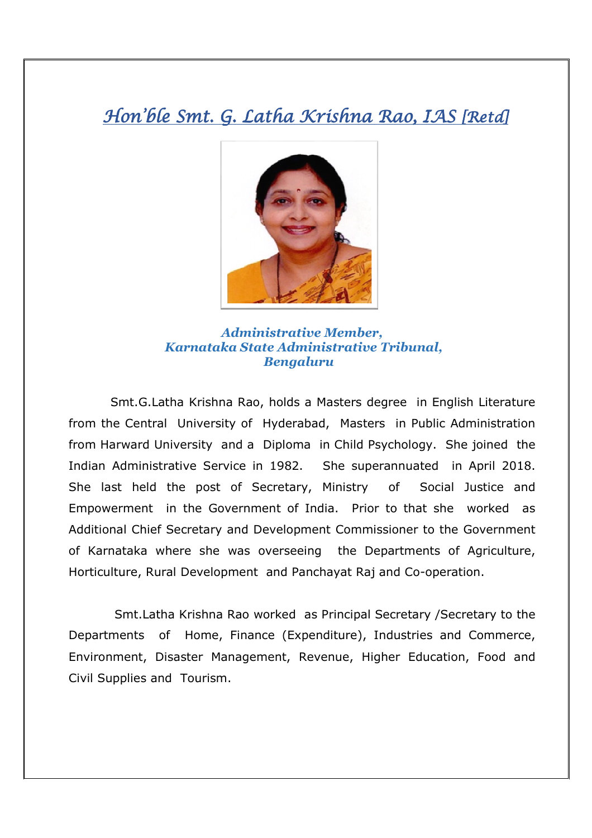## Hon'ble Smt. G. Latha Krishna Rao, IAS [Retd]



 *Administrative Member, Karnataka State Administrative Tribunal, Bengaluru* 

 Smt.G.Latha Krishna Rao, holds a Masters degree in English Literature from the Central University of Hyderabad, Masters in Public Administration from Harward University and a Diploma in Child Psychology. She joined the Indian Administrative Service in 1982. She superannuated in April 2018. She last held the post of Secretary, Ministry of Social Justice and Empowerment in the Government of India. Prior to that she worked as Additional Chief Secretary and Development Commissioner to the Government of Karnataka where she was overseeing the Departments of Agriculture, Horticulture, Rural Development and Panchayat Raj and Co-operation.

 Smt.Latha Krishna Rao worked as Principal Secretary /Secretary to the Departments of Home, Finance (Expenditure), Industries and Commerce, Environment, Disaster Management, Revenue, Higher Education, Food and Civil Supplies and Tourism.